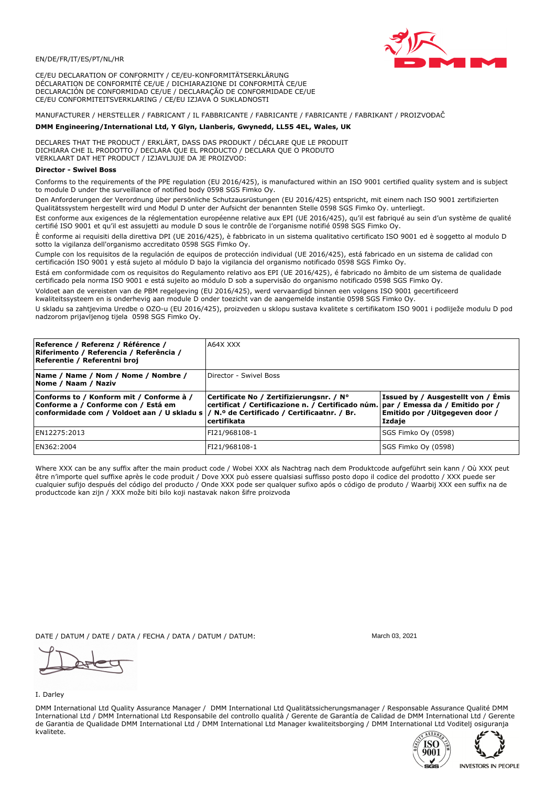

CE/EU DECLARATION OF CONFORMITY / CE/EU-KONFORMITÄTSERKLÄRUNG DÉCLARATION DE CONFORMITÉ CE/UE / DICHIARAZIONE DI CONFORMITÀ CE/UE DECLARACIÓN DE CONFORMIDAD CE/UE / DECLARAÇÃO DE CONFORMIDADE CE/UE CE/EU CONFORMITEITSVERKLARING / CE/EU IZJAVA O SUKLADNOSTI

## MANUFACTURER / HERSTELLER / FABRICANT / IL FABBRICANTE / FABRICANTE / FABRICANTE / FABRIKANT / PROIZVOĐAČ

## DMM Engineering/International Ltd, Y Glyn, Llanberis, Gwynedd, LL55 4EL, Wales, UK

DECLARES THAT THE PRODUCT / ERKLÄRT, DASS DAS PRODUKT / DÉCLARE QUE LE PRODUIT<br>DICHIARA CHE IL PRODOTTO / DECLARA QUE EL PRODUCTO / DECLARA QUE O PRODUTO VERKLAART DAT HET PRODUCT / IZJAVLJUJE DA JE PROIZVOD:

## **Director - Swivel Boss**

Conforms to the requirements of the PPE regulation (EU 2016/425), is manufactured within an ISO 9001 certified quality system and is subject to module D under the surveillance of notified body 0598 SGS Fimko Ov.

Den Anforderungen der Verordnung über persönliche Schutzausrüstungen (EU 2016/425) entspricht, mit einem nach ISO 9001 zertifizierten Qualitätssystem hergestellt wird und Modul D unter der Aufsicht der benannten Stelle 0598 SGS Fimko Oy. unterliegt.

Est conforme aux exigences de la réglementation européenne relative aux EPI (UE 2016/425), qu'il est fabriqué au sein d'un système de qualité certifié ISO 9001 et qu'il est assujetti au module D sous le contrôle de l'organisme notifié 0598 SGS Fimko Oy.

È conforme ai requisiti della direttiva DPI (UE 2016/425), è fabbricato in un sistema qualitativo certificato ISO 9001 ed è soggetto al modulo D sotto la vigilanza dell'organismo accreditato 0598 SGS Fimko Oy.

Cumple con los requisitos de la regulación de equipos de protección individual (UE 2016/425), está fabricado en un sistema de calidad con certificación ISO 9001 y está sujeto al módulo D bajo la vigilancia del organismo notificado 0598 SGS Fimko Oy.

Está em conformidade com os requisitos do Regulamento relativo aos EPI (UE 2016/425), é fabricado no âmbito de um sistema de qualidade certificado pela norma ISO 9001 e está sujeito ao módulo D sob a supervisão do organismo notificado 0598 SGS Fimko Oy.

Voldoet aan de vereisten van de PBM regelgeving (EU 2016/425), werd vervaardigd binnen een volgens ISO 9001 gecertificeerd kwaliteitssysteem en is onderhevig aan module D onder toezicht van de aangemelde instantie 0598 SGS Fimko Oy.

U skladu sa zahtjevima Uredbe o OZO-u (EU 2016/425), proizveden u sklopu sustava kvalitete s certifikatom ISO 9001 i podliježe modulu D pod nadzorom prijavljenog tijela 0598 SGS Fimko Oy.

| Reference / Referenz / Référence /<br>Riferimento / Referencia / Referência /<br>Referentie / Referentni broj                                                              | A64X XXX                                                                                                                                     |                                                                                 |
|----------------------------------------------------------------------------------------------------------------------------------------------------------------------------|----------------------------------------------------------------------------------------------------------------------------------------------|---------------------------------------------------------------------------------|
| Name / Name / Nom / Nome / Nombre /<br> Nome / Naam / Naziv                                                                                                                | Director - Swivel Boss                                                                                                                       |                                                                                 |
| Conforms to / Konform mit / Conforme à /<br>Conforme a / Conforme con / Está em<br>conformidade com / Voldoet aan / U skladu s / N.º de Certificado / Certificaatnr. / Br. | Certificate No / Zertifizierungsnr. / N°<br>certificat / Certificazione n. / Certificado núm. par / Emessa da / Emitido por /<br>certifikata | Issued by / Ausgestellt von / Émis<br>Emitido por / Uitgegeven door /<br>Izdaje |
| EN12275:2013                                                                                                                                                               | FI21/968108-1                                                                                                                                | SGS Fimko Oy (0598)                                                             |
| EN362:2004                                                                                                                                                                 | FI21/968108-1                                                                                                                                | SGS Fimko Oy (0598)                                                             |

Where XXX can be any suffix after the main product code / Wobei XXX als Nachtrag nach dem Produktcode aufgeführt sein kann / Où XXX peut être n'importe quel suffixe après le code produit / Dove XXX può essere qualsiasi suffisso posto dopo il codice del prodotto / XXX puede ser cualquier sufijo después del código del producto / Onde XXX pode ser qualquer sufixo após o código de produto / Waarbij XXX een suffix na de productcode kan zijn / XXX može biti bilo koji nastavak nakon šifre proizvoda

DATE / DATUM / DATE / DATA / FECHA / DATA / DATUM / DATUM:

## I. Darley

DMM International Ltd Quality Assurance Manager / DMM International Ltd Qualitätssicherungsmanager / Responsable Assurance Qualité DMM International Ltd / DMM International Ltd Responsabile del controllo qualità / Gerente de Garantía de Calidad de DMM International Ltd / Gerente de Garantia de Qualidade DMM International Ltd / DMM International Ltd Manager kwaliteitsborging / DMM International Ltd Voditelj osiguranja kvalitete.





March 03 2021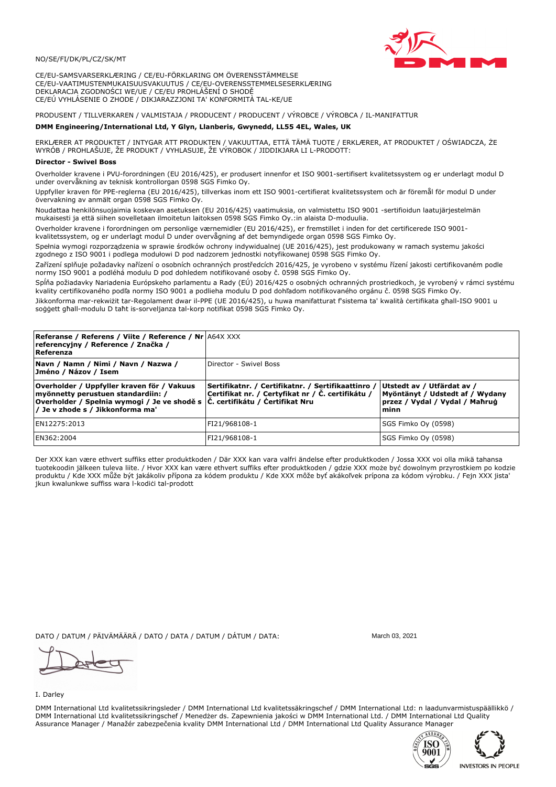

CE/EU-SAMSVARSERKLÆRING / CE/EU-FÖRKLARING OM ÖVERENSSTÄMMELSE CE/EU-VAATIMUSTENMUKAISUUSVAKUUTUS / CE/EU-OVERENSSTEMMELSESERKLÆRING DEKLARACJA ZGODNOŚCI WE/UE / CE/EU PROHLÁŠENÍ O SHODĚ CE/EÚ VYHLÁSENIE O ZHODE / DIKJARAZZJONI TA' KONFORMITÀ TAL-KE/UE

# PRODUSENT / TILLVERKAREN / VALMISTAJA / PRODUCENT / PRODUCENT / VÝROBCE / VÝROBCA / IL-MANIFATTUR

## DMM Engineering/International Ltd, Y Glyn, Llanberis, Gwynedd, LL55 4EL, Wales, UK

ERKLÆRER AT PRODUKTET / INTYGAR ATT PRODUKTEN / VAKUUTTAA, ETTÄ TÄMÄ TUOTE / ERKLÆRER, AT PRODUKTET / OŚWIADCZA, ŻE<br>WYRÓB / PROHLAŠUJE, ŽE PRODUKT / VYHLASUJE, ŽE VÝROBOK / JIDDIKJARA LI L-PRODOTT:

Overholder kravene i PVU-forordningen (EU 2016/425), er produsert innenfor et ISO 9001-sertifisert kvalitetssystem og er underlagt modul D under overvåkning av teknisk kontrollorgan 0598 SGS Fimko Ov.

Uppfyller kraven för PPE-reglerna (EU 2016/425), tillverkas inom ett ISO 9001-certifierat kvalitetssystem och är föremål för modul D under övervakning av anmält organ 0598 SGS Fimko Oy.

Noudattaa henkilönsuojaimia koskevan asetuksen (EU 2016/425) vaatimuksia, on valmistettu ISO 9001 -sertifioidun laatujärjestelmän mukaisesti ja että siihen sovelletaan ilmoitetun laitoksen 0598 SGS Fimko Oy.:in alaista D-moduulia.

Overholder kravene i forordningen om personlige værnemidler (EU 2016/425), er fremstillet i inden for det certificerede ISO 9001kvalitetssystem, og er underlagt modul D under overvågning af det bemyndigede organ 0598 SGS Fimko Oy.

Spełnia wymogi rozporządzenia w sprawie środków ochrony indywidualnej (UE 2016/425), jest produkowany w ramach systemu jakości

zgodnego z ISO 9001 i podlega modułowi D pod nadzorem jednostki notyfikowanej 0598 SGS Fimko Oy. Zařízení splňuje požadavky nařízení o osobních ochranných prostředcích 2016/425, je vyrobeno v systému řízení jakosti certifikovaném podle normy ISO 9001 a podléhá modulu D pod dohledem notifikované osoby č. 0598 SGS Fimko Oy.

Spĺňa požiadavky Nariadenia Európskeho parlamentu a Rady (EÚ) 2016/425 o osobných ochranných prostriedkoch, je vyrobený v rámci systému kvality certifikovaného podľa normy ISO 9001 a podlieha modulu D pod dohľadom notifikovaného orgánu č. 0598 SGS Fimko Oy.

Jikkonforma mar-rekwiżit tar-Regolament dwar il-PPE (UE 2016/425), u huwa manifatturat f'sistema ta' kwalità certifikata għall-ISO 9001 u soggett ghall-modulu D taht is-sorveljanza tal-korp notifikat 0598 SGS Fimko Oy.

| <b>Referanse / Referens / Viite / Reference / Nr A64X XXX</b><br>referencyjny / Reference / Značka /<br>Referenza                                                                                                |                                                                                                         |                                                                                                         |
|------------------------------------------------------------------------------------------------------------------------------------------------------------------------------------------------------------------|---------------------------------------------------------------------------------------------------------|---------------------------------------------------------------------------------------------------------|
| Navn / Namn / Nimi / Navn / Nazwa /<br>Jméno / Názov / Isem                                                                                                                                                      | Director - Swivel Boss                                                                                  |                                                                                                         |
| Overholder / Uppfyller kraven för / Vakuus<br>myönnetty perustuen standardiin: /<br>Overholder / Spełnia wymogi / Je ve shodě s $ \tilde{C} $ . certifikátu / Certifikat Nru<br>/ Je v zhode s / Jikkonforma ma' | Sertifikatnr. / Certifikatnr. / Sertifikaattinro /<br>Certifikat nr. / Certyfikat nr / Č. certifikátu / | Utstedt av / Utfärdat av /<br>Myöntänyt / Udstedt af / Wydany<br>przez / Vydal / Vydal / Maħruġ<br>minn |
| EN12275:2013                                                                                                                                                                                                     | FI21/968108-1                                                                                           | SGS Fimko Oy (0598)                                                                                     |
| EN362:2004                                                                                                                                                                                                       | FI21/968108-1                                                                                           | SGS Fimko Oy (0598)                                                                                     |

Der XXX kan være ethvert suffiks etter produktkoden / Där XXX kan vara valfri ändelse efter produktkoden / Jossa XXX voi olla mikä tahansa tuotekoodin jälkeen tuleva liite. / Hvor XXX kan være ethvert suffiks efter produktkoden / gdzie XXX može być dowolnym przyrostkiem po kodzie<br>produktu / Kde XXX může být jakákoliv přípona za kódem produktu / Kde XXX môže b jkun kwalunkwe suffiss wara l-kodići tal-prodott

DATO / DATUM / PÄIVÄMÄÄRÄ / DATO / DATA / DATUM / DÁTUM / DATA:

I. Darley

DMM International Ltd kvalitetssikringsleder / DMM International Ltd kvalitetssäkringschef / DMM International Ltd: n laadunvarmistuspäällikkö / DMM International Ltd kvalitetssikringschef / Menedzer ds. Zapewnienia jakości w DMM International Ltd. / DMM International Ltd Quality Assurance Manager / Manažér zabezpečenia kvality DMM International Ltd / DMM International Ltd Quality Assurance Manager





March 03 2021